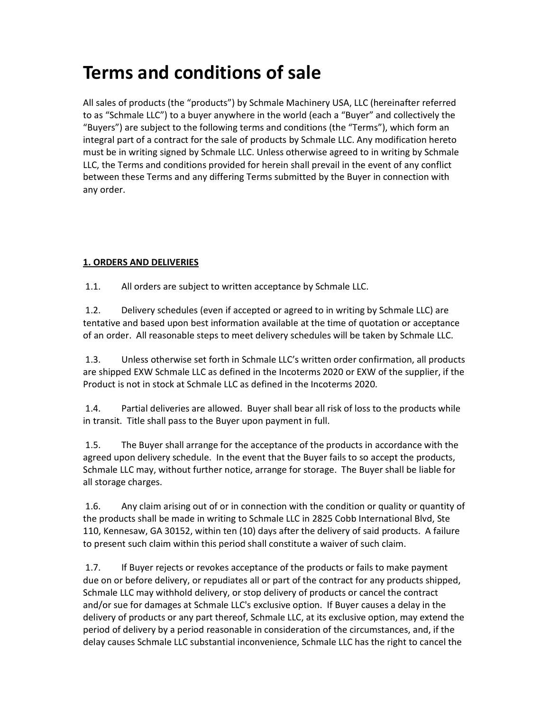# Terms and conditions of sale

All sales of products (the "products") by Schmale Machinery USA, LLC (hereinafter referred to as "Schmale LLC") to a buyer anywhere in the world (each a "Buyer" and collectively the "Buyers") are subject to the following terms and conditions (the "Terms"), which form an integral part of a contract for the sale of products by Schmale LLC. Any modification hereto must be in writing signed by Schmale LLC. Unless otherwise agreed to in writing by Schmale LLC, the Terms and conditions provided for herein shall prevail in the event of any conflict between these Terms and any differing Terms submitted by the Buyer in connection with any order.

#### 1. ORDERS AND DELIVERIES

1.1. All orders are subject to written acceptance by Schmale LLC.

 1.2. Delivery schedules (even if accepted or agreed to in writing by Schmale LLC) are tentative and based upon best information available at the time of quotation or acceptance of an order. All reasonable steps to meet delivery schedules will be taken by Schmale LLC.

 1.3. Unless otherwise set forth in Schmale LLC's written order confirmation, all products are shipped EXW Schmale LLC as defined in the Incoterms 2020 or EXW of the supplier, if the Product is not in stock at Schmale LLC as defined in the Incoterms 2020.

 1.4. Partial deliveries are allowed. Buyer shall bear all risk of loss to the products while in transit. Title shall pass to the Buyer upon payment in full.

 1.5. The Buyer shall arrange for the acceptance of the products in accordance with the agreed upon delivery schedule. In the event that the Buyer fails to so accept the products, Schmale LLC may, without further notice, arrange for storage. The Buyer shall be liable for all storage charges.

 1.6. Any claim arising out of or in connection with the condition or quality or quantity of the products shall be made in writing to Schmale LLC in 2825 Cobb International Blvd, Ste 110, Kennesaw, GA 30152, within ten (10) days after the delivery of said products. A failure to present such claim within this period shall constitute a waiver of such claim.

 1.7. If Buyer rejects or revokes acceptance of the products or fails to make payment due on or before delivery, or repudiates all or part of the contract for any products shipped, Schmale LLC may withhold delivery, or stop delivery of products or cancel the contract and/or sue for damages at Schmale LLC's exclusive option. If Buyer causes a delay in the delivery of products or any part thereof, Schmale LLC, at its exclusive option, may extend the period of delivery by a period reasonable in consideration of the circumstances, and, if the delay causes Schmale LLC substantial inconvenience, Schmale LLC has the right to cancel the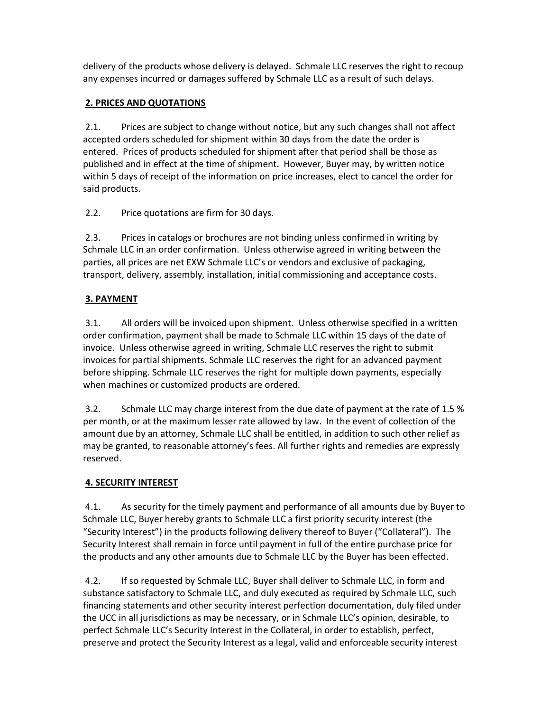delivery of the products whose delivery is delayed. Schmale LLC reserves the right to recoup any expenses incurred or damages suffered by Schmale LLC as a result of such delays.

## 2. PRICES AND QUOTATIONS

 2.1. Prices are subject to change without notice, but any such changes shall not affect accepted orders scheduled for shipment within 30 days from the date the order is entered. Prices of products scheduled for shipment after that period shall be those as published and in effect at the time of shipment. However, Buyer may, by written notice within 5 days of receipt of the information on price increases, elect to cancel the order for said products.

2.2. Price quotations are firm for 30 days.

 2.3. Prices in catalogs or brochures are not binding unless confirmed in writing by Schmale LLC in an order confirmation. Unless otherwise agreed in writing between the parties, all prices are net EXW Schmale LLC's or vendors and exclusive of packaging, transport, delivery, assembly, installation, initial commissioning and acceptance costs.

# 3. PAYMENT

 3.1. All orders will be invoiced upon shipment. Unless otherwise specified in a written order confirmation, payment shall be made to Schmale LLC within 15 days of the date of invoice. Unless otherwise agreed in writing, Schmale LLC reserves the right to submit invoices for partial shipments. Schmale LLC reserves the right for an advanced payment before shipping. Schmale LLC reserves the right for multiple down payments, especially when machines or customized products are ordered.

 3.2. Schmale LLC may charge interest from the due date of payment at the rate of 1.5 % per month, or at the maximum lesser rate allowed by law. In the event of collection of the amount due by an attorney, Schmale LLC shall be entitled, in addition to such other relief as may be granted, to reasonable attorney's fees. All further rights and remedies are expressly reserved.

# 4. SECURITY INTEREST

 4.1. As security for the timely payment and performance of all amounts due by Buyer to Schmale LLC, Buyer hereby grants to Schmale LLC a first priority security interest (the "Security Interest") in the products following delivery thereof to Buyer ("Collateral"). The Security Interest shall remain in force until payment in full of the entire purchase price for the products and any other amounts due to Schmale LLC by the Buyer has been effected.

 4.2. If so requested by Schmale LLC, Buyer shall deliver to Schmale LLC, in form and substance satisfactory to Schmale LLC, and duly executed as required by Schmale LLC, such financing statements and other security interest perfection documentation, duly filed under the UCC in all jurisdictions as may be necessary, or in Schmale LLC's opinion, desirable, to perfect Schmale LLC's Security Interest in the Collateral, in order to establish, perfect, preserve and protect the Security Interest as a legal, valid and enforceable security interest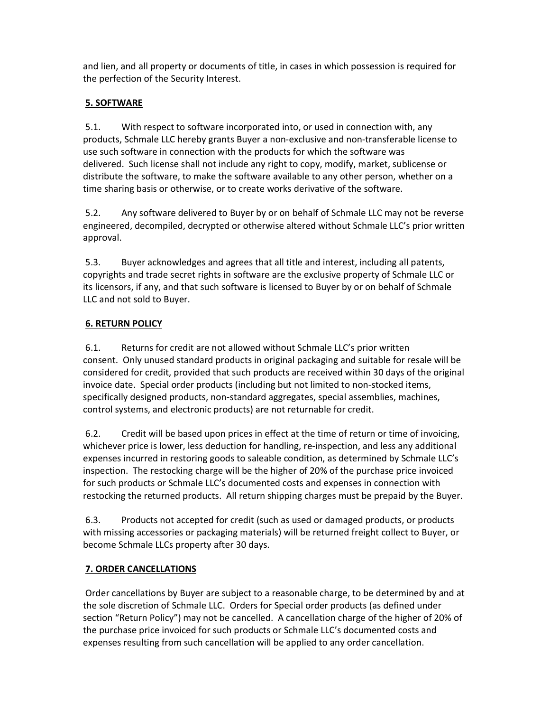and lien, and all property or documents of title, in cases in which possession is required for the perfection of the Security Interest.

## 5. SOFTWARE

 5.1. With respect to software incorporated into, or used in connection with, any products, Schmale LLC hereby grants Buyer a non-exclusive and non-transferable license to use such software in connection with the products for which the software was delivered. Such license shall not include any right to copy, modify, market, sublicense or distribute the software, to make the software available to any other person, whether on a time sharing basis or otherwise, or to create works derivative of the software.

 5.2. Any software delivered to Buyer by or on behalf of Schmale LLC may not be reverse engineered, decompiled, decrypted or otherwise altered without Schmale LLC's prior written approval.

 5.3. Buyer acknowledges and agrees that all title and interest, including all patents, copyrights and trade secret rights in software are the exclusive property of Schmale LLC or its licensors, if any, and that such software is licensed to Buyer by or on behalf of Schmale LLC and not sold to Buyer.

# 6. RETURN POLICY

 6.1. Returns for credit are not allowed without Schmale LLC's prior written consent. Only unused standard products in original packaging and suitable for resale will be considered for credit, provided that such products are received within 30 days of the original invoice date. Special order products (including but not limited to non-stocked items, specifically designed products, non-standard aggregates, special assemblies, machines, control systems, and electronic products) are not returnable for credit.

 6.2. Credit will be based upon prices in effect at the time of return or time of invoicing, whichever price is lower, less deduction for handling, re-inspection, and less any additional expenses incurred in restoring goods to saleable condition, as determined by Schmale LLC's inspection. The restocking charge will be the higher of 20% of the purchase price invoiced for such products or Schmale LLC's documented costs and expenses in connection with restocking the returned products. All return shipping charges must be prepaid by the Buyer.

 6.3. Products not accepted for credit (such as used or damaged products, or products with missing accessories or packaging materials) will be returned freight collect to Buyer, or become Schmale LLCs property after 30 days.

## 7. ORDER CANCELLATIONS

 Order cancellations by Buyer are subject to a reasonable charge, to be determined by and at the sole discretion of Schmale LLC. Orders for Special order products (as defined under section "Return Policy") may not be cancelled. A cancellation charge of the higher of 20% of the purchase price invoiced for such products or Schmale LLC's documented costs and expenses resulting from such cancellation will be applied to any order cancellation.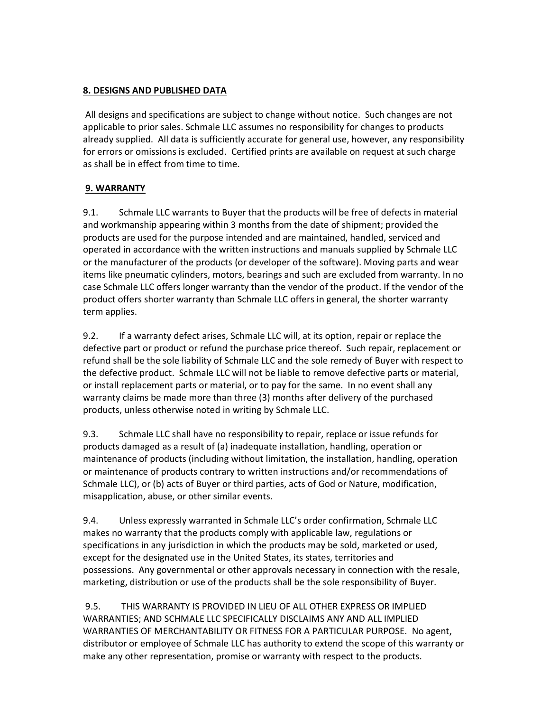#### 8. DESIGNS AND PUBLISHED DATA

 All designs and specifications are subject to change without notice. Such changes are not applicable to prior sales. Schmale LLC assumes no responsibility for changes to products already supplied. All data is sufficiently accurate for general use, however, any responsibility for errors or omissions is excluded. Certified prints are available on request at such charge as shall be in effect from time to time.

# 9. WARRANTY

9.1. Schmale LLC warrants to Buyer that the products will be free of defects in material and workmanship appearing within 3 months from the date of shipment; provided the products are used for the purpose intended and are maintained, handled, serviced and operated in accordance with the written instructions and manuals supplied by Schmale LLC or the manufacturer of the products (or developer of the software). Moving parts and wear items like pneumatic cylinders, motors, bearings and such are excluded from warranty. In no case Schmale LLC offers longer warranty than the vendor of the product. If the vendor of the product offers shorter warranty than Schmale LLC offers in general, the shorter warranty term applies.

9.2. If a warranty defect arises, Schmale LLC will, at its option, repair or replace the defective part or product or refund the purchase price thereof. Such repair, replacement or refund shall be the sole liability of Schmale LLC and the sole remedy of Buyer with respect to the defective product. Schmale LLC will not be liable to remove defective parts or material, or install replacement parts or material, or to pay for the same. In no event shall any warranty claims be made more than three (3) months after delivery of the purchased products, unless otherwise noted in writing by Schmale LLC.

9.3. Schmale LLC shall have no responsibility to repair, replace or issue refunds for products damaged as a result of (a) inadequate installation, handling, operation or maintenance of products (including without limitation, the installation, handling, operation or maintenance of products contrary to written instructions and/or recommendations of Schmale LLC), or (b) acts of Buyer or third parties, acts of God or Nature, modification, misapplication, abuse, or other similar events.

9.4. Unless expressly warranted in Schmale LLC's order confirmation, Schmale LLC makes no warranty that the products comply with applicable law, regulations or specifications in any jurisdiction in which the products may be sold, marketed or used, except for the designated use in the United States, its states, territories and possessions. Any governmental or other approvals necessary in connection with the resale, marketing, distribution or use of the products shall be the sole responsibility of Buyer.

 9.5. THIS WARRANTY IS PROVIDED IN LIEU OF ALL OTHER EXPRESS OR IMPLIED WARRANTIES; AND SCHMALE LLC SPECIFICALLY DISCLAIMS ANY AND ALL IMPLIED WARRANTIES OF MERCHANTABILITY OR FITNESS FOR A PARTICULAR PURPOSE. No agent, distributor or employee of Schmale LLC has authority to extend the scope of this warranty or make any other representation, promise or warranty with respect to the products.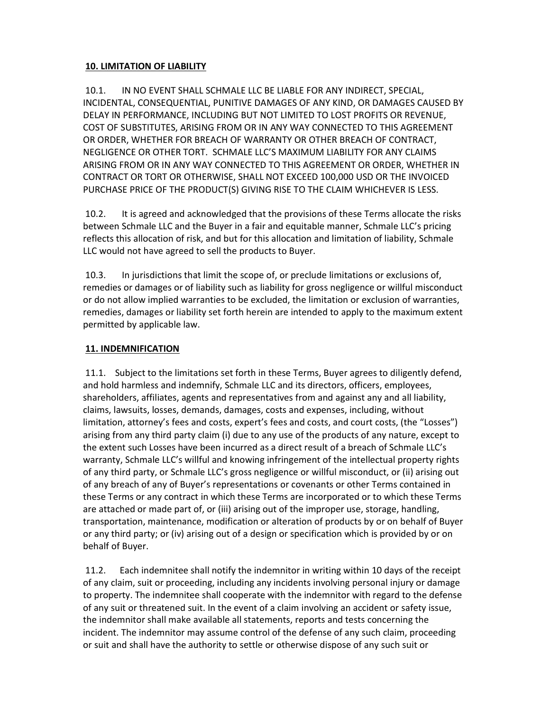#### 10. LIMITATION OF LIABILITY

 10.1. IN NO EVENT SHALL SCHMALE LLC BE LIABLE FOR ANY INDIRECT, SPECIAL, INCIDENTAL, CONSEQUENTIAL, PUNITIVE DAMAGES OF ANY KIND, OR DAMAGES CAUSED BY DELAY IN PERFORMANCE, INCLUDING BUT NOT LIMITED TO LOST PROFITS OR REVENUE, COST OF SUBSTITUTES, ARISING FROM OR IN ANY WAY CONNECTED TO THIS AGREEMENT OR ORDER, WHETHER FOR BREACH OF WARRANTY OR OTHER BREACH OF CONTRACT, NEGLIGENCE OR OTHER TORT. SCHMALE LLC'S MAXIMUM LIABILITY FOR ANY CLAIMS ARISING FROM OR IN ANY WAY CONNECTED TO THIS AGREEMENT OR ORDER, WHETHER IN CONTRACT OR TORT OR OTHERWISE, SHALL NOT EXCEED 100,000 USD OR THE INVOICED PURCHASE PRICE OF THE PRODUCT(S) GIVING RISE TO THE CLAIM WHICHEVER IS LESS.

 10.2. It is agreed and acknowledged that the provisions of these Terms allocate the risks between Schmale LLC and the Buyer in a fair and equitable manner, Schmale LLC's pricing reflects this allocation of risk, and but for this allocation and limitation of liability, Schmale LLC would not have agreed to sell the products to Buyer.

 10.3. In jurisdictions that limit the scope of, or preclude limitations or exclusions of, remedies or damages or of liability such as liability for gross negligence or willful misconduct or do not allow implied warranties to be excluded, the limitation or exclusion of warranties, remedies, damages or liability set forth herein are intended to apply to the maximum extent permitted by applicable law.

#### 11. INDEMNIFICATION

 11.1. Subject to the limitations set forth in these Terms, Buyer agrees to diligently defend, and hold harmless and indemnify, Schmale LLC and its directors, officers, employees, shareholders, affiliates, agents and representatives from and against any and all liability, claims, lawsuits, losses, demands, damages, costs and expenses, including, without limitation, attorney's fees and costs, expert's fees and costs, and court costs, (the "Losses") arising from any third party claim (i) due to any use of the products of any nature, except to the extent such Losses have been incurred as a direct result of a breach of Schmale LLC's warranty, Schmale LLC's willful and knowing infringement of the intellectual property rights of any third party, or Schmale LLC's gross negligence or willful misconduct, or (ii) arising out of any breach of any of Buyer's representations or covenants or other Terms contained in these Terms or any contract in which these Terms are incorporated or to which these Terms are attached or made part of, or (iii) arising out of the improper use, storage, handling, transportation, maintenance, modification or alteration of products by or on behalf of Buyer or any third party; or (iv) arising out of a design or specification which is provided by or on behalf of Buyer.

 11.2. Each indemnitee shall notify the indemnitor in writing within 10 days of the receipt of any claim, suit or proceeding, including any incidents involving personal injury or damage to property. The indemnitee shall cooperate with the indemnitor with regard to the defense of any suit or threatened suit. In the event of a claim involving an accident or safety issue, the indemnitor shall make available all statements, reports and tests concerning the incident. The indemnitor may assume control of the defense of any such claim, proceeding or suit and shall have the authority to settle or otherwise dispose of any such suit or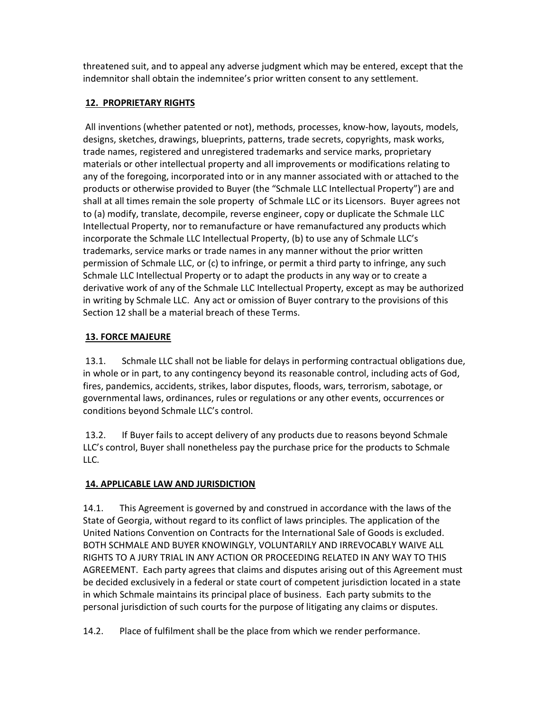threatened suit, and to appeal any adverse judgment which may be entered, except that the indemnitor shall obtain the indemnitee's prior written consent to any settlement.

#### 12. PROPRIETARY RIGHTS

 All inventions (whether patented or not), methods, processes, know-how, layouts, models, designs, sketches, drawings, blueprints, patterns, trade secrets, copyrights, mask works, trade names, registered and unregistered trademarks and service marks, proprietary materials or other intellectual property and all improvements or modifications relating to any of the foregoing, incorporated into or in any manner associated with or attached to the products or otherwise provided to Buyer (the "Schmale LLC Intellectual Property") are and shall at all times remain the sole property of Schmale LLC or its Licensors. Buyer agrees not to (a) modify, translate, decompile, reverse engineer, copy or duplicate the Schmale LLC Intellectual Property, nor to remanufacture or have remanufactured any products which incorporate the Schmale LLC Intellectual Property, (b) to use any of Schmale LLC's trademarks, service marks or trade names in any manner without the prior written permission of Schmale LLC, or (c) to infringe, or permit a third party to infringe, any such Schmale LLC Intellectual Property or to adapt the products in any way or to create a derivative work of any of the Schmale LLC Intellectual Property, except as may be authorized in writing by Schmale LLC. Any act or omission of Buyer contrary to the provisions of this Section 12 shall be a material breach of these Terms.

## 13. FORCE MAJEURE

 13.1. Schmale LLC shall not be liable for delays in performing contractual obligations due, in whole or in part, to any contingency beyond its reasonable control, including acts of God, fires, pandemics, accidents, strikes, labor disputes, floods, wars, terrorism, sabotage, or governmental laws, ordinances, rules or regulations or any other events, occurrences or conditions beyond Schmale LLC's control.

 13.2. If Buyer fails to accept delivery of any products due to reasons beyond Schmale LLC's control, Buyer shall nonetheless pay the purchase price for the products to Schmale LLC.

# 14. APPLICABLE LAW AND JURISDICTION

14.1. This Agreement is governed by and construed in accordance with the laws of the State of Georgia, without regard to its conflict of laws principles. The application of the United Nations Convention on Contracts for the International Sale of Goods is excluded. BOTH SCHMALE AND BUYER KNOWINGLY, VOLUNTARILY AND IRREVOCABLY WAIVE ALL RIGHTS TO A JURY TRIAL IN ANY ACTION OR PROCEEDING RELATED IN ANY WAY TO THIS AGREEMENT. Each party agrees that claims and disputes arising out of this Agreement must be decided exclusively in a federal or state court of competent jurisdiction located in a state in which Schmale maintains its principal place of business. Each party submits to the personal jurisdiction of such courts for the purpose of litigating any claims or disputes.

14.2. Place of fulfilment shall be the place from which we render performance.